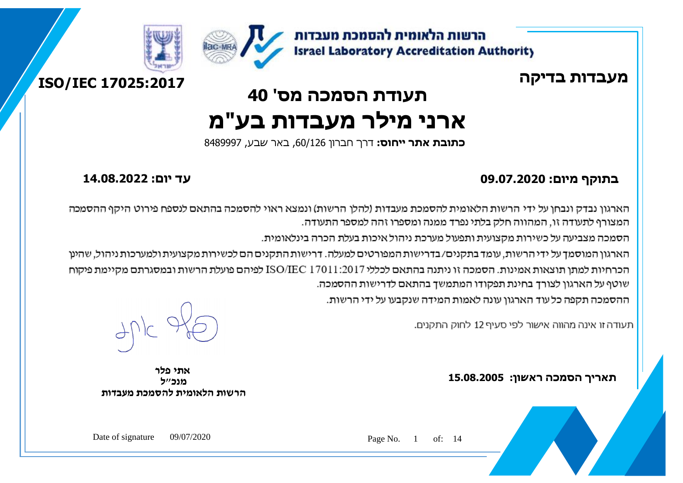







# **תעודת הסמכה מס' 40 ארני מילר מעבדות בע"מ**

 **כתובת אתר ייחוס:** דרך חברון ,60/126 באר שבע, 8489997

#### **בתוקף מיום: 09.07.2020 עד יום: 14.08.2022**

הארגון נבדק ונבחו על ידי הרשות הלאומית להסמכת מעבדות (להלו הרשות) ונמצא ראוי להסמכה בהתאם לנספח פירוט היקף ההסמכה המצורף לתעודה זו, המהווה חלק בלתי נפרד ממנה ומספרו זהה למספר התעודה.

הסמכה מצביעה על כשירות מקצועית ותפעול מערכת ניהול איכות בעלת הכרה בינלאומית.

הארגון המוסמך על ידי הרשות, עומד בתקנים/בדרישות המפורטים למעלה. דרישות התקנים הם לכשירות מקצועית ולמערכות ניהול, שהינן הכרחיות למתן תוצאות אמינות. הסמכה זו ניתנה בהתאם לכללי ISO/IEC 17011:2017 לפיהם פועלת הרשות ובמסגרתם מקיימת פיקוח שוטף על הארגון לצורך בחינת תפקודו המתמשך בהתאם לדרישות ההסמכה.

ההסמכה תקפה כל עוד הארגון עונה לאמות המידה שנקבעו על ידי הרשות.

תעודה זו אינה מהווה אישור לפי סעיף 12 לחוק התקנים.

**תאריך הסמכה ראשון: 15.08.2005**

ľ

**אתי פלר מנכ"ל הרשות הלאומית להסמכת מעבדות**

Page No. 1 of: 14

Date of signature 09/07/2020

l,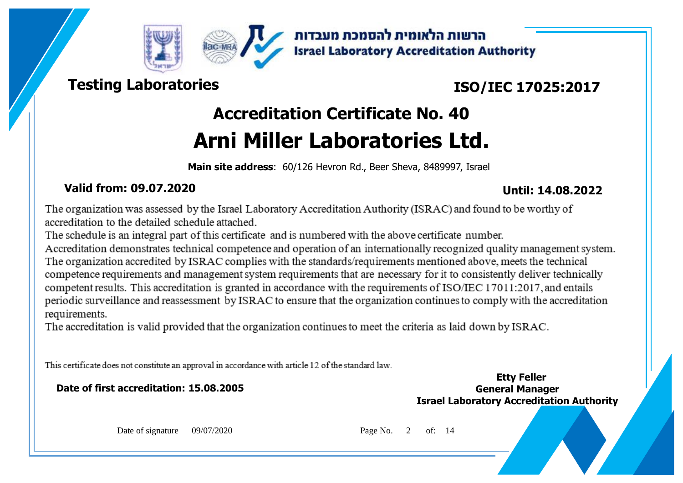



הרשות הלאומית להסמכת מעבדות **Israel Laboratory Accreditation Authority** 

## **Testing Laboratories**

## **ISO/IEC 17025:2017**

# **Accreditation Certificate No. 40 Arni Miller Laboratories Ltd.**

**Main site address**: 60/126 Hevron Rd., Beer Sheva, 8489997, Israel

### **Valid from: 09.07.2020 Until: 14.08.2022**

The organization was assessed by the Israel Laboratory Accreditation Authority (ISRAC) and found to be worthy of accreditation to the detailed schedule attached.

The schedule is an integral part of this certificate and is numbered with the above certificate number.

Accreditation demonstrates technical competence and operation of an internationally recognized quality management system. The organization accredited by ISRAC complies with the standards/requirements mentioned above, meets the technical competence requirements and management system requirements that are necessary for it to consistently deliver technically competent results. This accreditation is granted in accordance with the requirements of ISO/IEC 17011:2017, and entails periodic surveillance and reassessment by ISRAC to ensure that the organization continues to comply with the accreditation requirements.

The accreditation is valid provided that the organization continues to meet the criteria as laid down by ISRAC.

This certificate does not constitute an approval in accordance with article 12 of the standard law.

**Date of first accreditation: 15.08.2005 General Manager**

**Israel Laboratory Accreditation Authority Etty Feller**

Date of signature 09/07/2020 Page No. 2 of: 14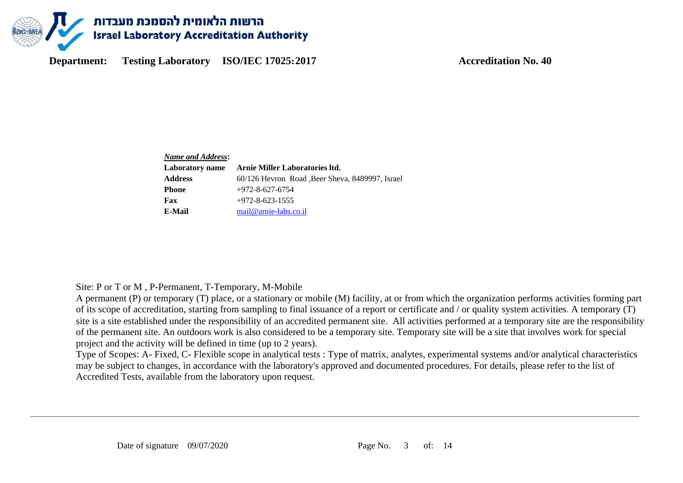

| Name and Address: |                                                  |
|-------------------|--------------------------------------------------|
| Laboratory name   | Arnie Miller Laboratories Itd.                   |
| <b>Address</b>    | 60/126 Hevron Road , Beer Sheva, 8489997, Israel |
| <b>Phone</b>      | $+972 - 8 - 627 - 6754$                          |
| Fax               | $+972 - 8 - 623 - 1555$                          |
| E-Mail            | mail@arnie-labs.co.il                            |

Site: P or T or M , P-Permanent, T-Temporary, M-Mobile

A permanent (P) or temporary (T) place, or a stationary or mobile (M) facility, at or from which the organization performs activities forming part of its scope of accreditation, starting from sampling to final issuance of a report or certificate and / or quality system activities. A temporary (T) site is a site established under the responsibility of an accredited permanent site. All activities performed at a temporary site are the responsibility of the permanent site. An outdoors work is also considered to be a temporary site. Temporary site will be a site that involves work for special project and the activity will be defined in time (up to 2 years).

Type of Scopes: A- Fixed, C- Flexible scope in analytical tests : Type of matrix, analytes, experimental systems and/or analytical characteristics may be subject to changes, in accordance with the laboratory's approved and documented procedures. For details, please refer to the list of Accredited Tests, available from the laboratory upon request.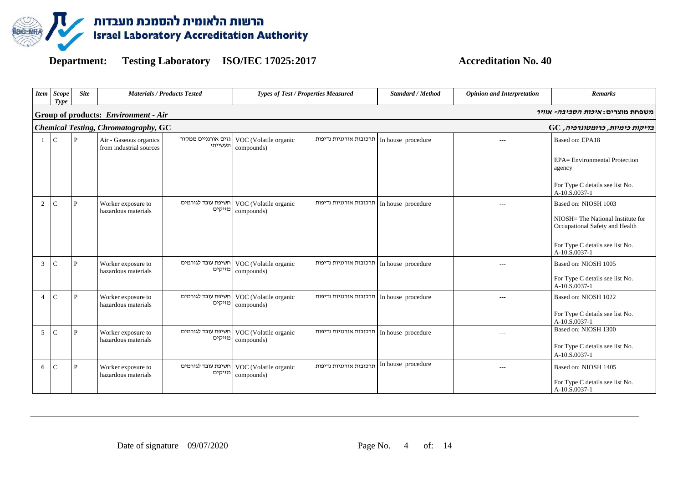

| <b>Item</b>    | Scope<br>Type | <b>Site</b>      | <b>Materials / Products Tested</b>                |                                | <b>Types of Test / Properties Measured</b>             |                         | Standard / Method  | <b>Opinion and Interpretation</b> | <b>Remarks</b>                                                                              |
|----------------|---------------|------------------|---------------------------------------------------|--------------------------------|--------------------------------------------------------|-------------------------|--------------------|-----------------------------------|---------------------------------------------------------------------------------------------|
|                |               |                  | Group of products: Environment - Air              |                                |                                                        |                         |                    |                                   | משפחת מוצרים: <i>איכות הסביבה- אוויר</i>                                                    |
|                |               |                  | <b>Chemical Testing, Chromatography, GC</b>       |                                |                                                        |                         |                    |                                   | $GC$ בדיקות כימיות, כרומטוגרפיה,                                                            |
| -1             | $\mathbf C$   | P                | Air - Gaseous organics<br>from industrial sources | גזים אורגניים ממקור<br>תעשייתי | VOC (Volatile organic<br>compounds)                    | תרכובות אורגניות נדיפות | In house procedure | $\overline{a}$                    | Based on: EPA18<br>EPA= Environmental Protection<br>agency                                  |
|                |               |                  |                                                   |                                |                                                        |                         |                    |                                   | For Type C details see list No.<br>A-10.S.0037-1                                            |
| 2              |               | P                | Worker exposure to<br>hazardous materials         | חשיפת עובד לגורמים<br>מזיקים   | VOC (Volatile organic<br>compounds)                    | תרכובות אורגניות נדיפות | In house procedure | $- - -$                           | Based on: NIOSH 1003<br>NIOSH= The National Institute for<br>Occupational Safety and Health |
|                |               |                  |                                                   |                                |                                                        |                         |                    |                                   | For Type C details see list No.<br>A-10.S.0037-1                                            |
| 3              |               | D                | Worker exposure to<br>hazardous materials         | מזיקים                         | חשיפת עובד לגורמים VOC (Volatile organic<br>compounds) | תרכובות אורגניות נדיפות | In house procedure | $---$                             | Based on: NIOSH 1005<br>For Type C details see list No.<br>$A-10.5.0037-1$                  |
| $\overline{4}$ |               |                  | Worker exposure to<br>hazardous materials         | חשיפת עובד לגורמים<br>מזיקים   | VOC (Volatile organic<br>compounds)                    | תרכובות אורגניות נדיפות | In house procedure | $---$                             | Based on: NIOSH 1022<br>For Type C details see list No.<br>A-10.S.0037-1                    |
| 5              |               | $\cdot$ <b>p</b> | Worker exposure to<br>hazardous materials         | חשיפת עובד לגורמים<br>מזיקים   | VOC (Volatile organic<br>compounds)                    | תרכובות אורגניות נדיפות | In house procedure | $- - -$                           | Based on: NIOSH 1300<br>For Type C details see list No.<br>A-10.S.0037-1                    |
| 6              |               | D                | Worker exposure to<br>hazardous materials         | חשיפת עובד לגורמים<br>מזיקים   | VOC (Volatile organic<br>compounds)                    | תרכובות אורגניות נדיפות | In house procedure | $- - -$                           | Based on: NIOSH 1405<br>For Type C details see list No.<br>A-10.S.0037-1                    |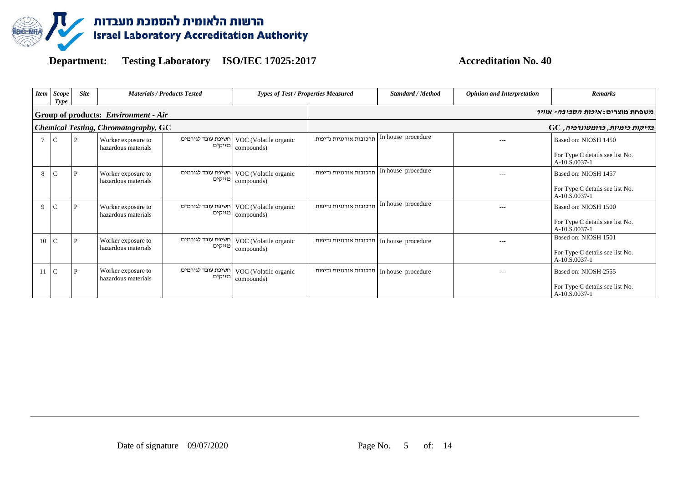

| <b>Item</b>      | <b>Scope</b><br>Type | <b>Site</b> |                                             | <b>Materials / Products Tested</b> | Types of Test / Properties Measured                           |                                            | <b>Standard / Method</b> | <b>Opinion and Interpretation</b> | <b>Remarks</b>                                   |
|------------------|----------------------|-------------|---------------------------------------------|------------------------------------|---------------------------------------------------------------|--------------------------------------------|--------------------------|-----------------------------------|--------------------------------------------------|
|                  |                      |             | Group of products: <i>Environment - Air</i> |                                    |                                                               |                                            |                          |                                   | משפחת מוצרים: <i>איכות הסביבה- אוויר</i>         |
|                  |                      |             | <b>Chemical Testing, Chromatography, GC</b> |                                    |                                                               |                                            |                          |                                   | $\rm GC$ בדיקות כימיות, כרומטוגרפיה,             |
| $\tau$           | $\mathcal{C}$        | P           | Worker exposure to<br>hazardous materials   |                                    | חשיפת עובד לגורמים VOC (Volatile organic<br>מזיקים compounds) | תרכובות אורגניות נדיפות                    | In house procedure       | $---$                             | Based on: NIOSH 1450                             |
|                  |                      |             |                                             |                                    |                                                               |                                            |                          |                                   | For Type C details see list No.<br>A-10.S.0037-1 |
| 8                | $\mathbf C$          | P           | Worker exposure to<br>hazardous materials   |                                    | חשיפת עובד לגורמים VOC (Volatile organic<br>מזיקים compounds) | תרכובות אורגניות נדיפות                    | In house procedure       | $---$                             | Based on: NIOSH 1457                             |
|                  |                      |             |                                             |                                    |                                                               |                                            |                          |                                   | For Type C details see list No.<br>A-10.S.0037-1 |
| 9                | $\mathcal{C}$        | P           | Worker exposure to<br>hazardous materials   |                                    | VOC (Volatile organic<br>מזיקים compounds)                    | תרכובות אורגניות נדיפות                    | In house procedure       | $---$                             | Based on: NIOSH 1500                             |
|                  |                      |             |                                             |                                    |                                                               |                                            |                          |                                   | For Type C details see list No.<br>A-10.S.0037-1 |
| 10               |                      | D           | Worker exposure to<br>hazardous materials   | מזיקים                             | חשיפת עובד לגורמים VOC (Volatile organic                      | תרכובות אורגניות נדיפות                    | In house procedure       | $- - -$                           | Based on: NIOSH 1501                             |
|                  |                      |             |                                             |                                    | compounds)                                                    |                                            |                          |                                   | For Type C details see list No.<br>A-10.S.0037-1 |
| $11 \, \text{C}$ |                      | P           | Worker exposure to<br>hazardous materials   | מזיקים                             | חשיפת עובד לגורמים VOC (Volatile organic<br>compounds)        | חרכובות אורגניות נדיפות In house procedure |                          | $- - -$                           | Based on: NIOSH 2555                             |
|                  |                      |             |                                             |                                    |                                                               |                                            |                          |                                   | For Type C details see list No.<br>A-10.S.0037-1 |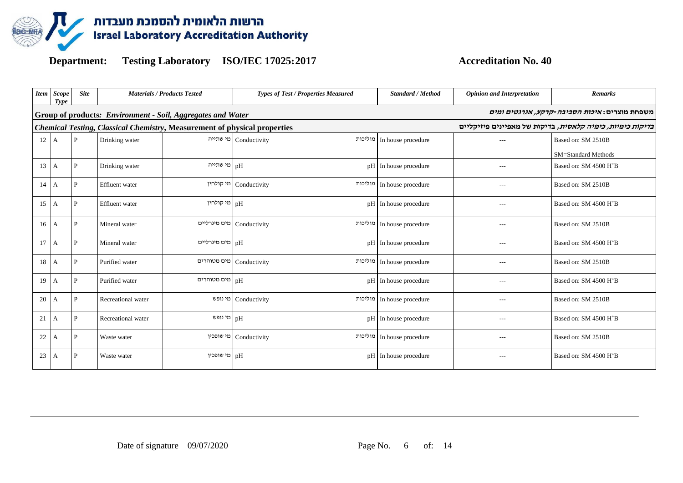

|                | <b>Item</b> Scope<br>Type | <b>Site</b>  |                       | <b>Materials / Products Tested</b>                                               | <b>Types of Test / Properties Measured</b> |         | <b>Standard / Method</b> | <b>Opinion and Interpretation</b> | <b>Remarks</b>                                                    |
|----------------|---------------------------|--------------|-----------------------|----------------------------------------------------------------------------------|--------------------------------------------|---------|--------------------------|-----------------------------------|-------------------------------------------------------------------|
|                |                           |              |                       | Group of products: Environment - Soil, Aggregates and Water                      |                                            |         |                          |                                   | משפחת מוצרים: <i>איכות הסביבה-קרקע, אגרגטים ומים</i>              |
|                |                           |              |                       | <b>Chemical Testing, Classical Chemistry, Measurement of physical properties</b> |                                            |         |                          |                                   | <i>בדיקות כימיות, כימיה קלאסית</i> , בדיקות של מאפיינים פיזיקליים |
| $12 \text{ A}$ |                           | $\mathbf{P}$ | Drinking water        |                                                                                  | Conductivity   מי שתייה                    | מוליכות | In house procedure       |                                   | Based on: SM 2510B                                                |
|                |                           |              |                       |                                                                                  |                                            |         |                          |                                   | SM=Standard Methods                                               |
| 13             | A                         | $\mathbf{P}$ | Drinking water        | מי שתייה                                                                         | pH                                         | pH      | In house procedure       | $---$                             | Based on: SM 4500 H <sup>+</sup> B                                |
| 14             | I A                       | P            | <b>Effluent</b> water | מי קולחין                                                                        | Conductivity                               | מוליכות | In house procedure       | $---$                             | Based on: SM 2510B                                                |
| 15             | A                         | P            | <b>Effluent</b> water | pH מי קולחין                                                                     |                                            | pH      | In house procedure       | $---$                             | Based on: SM 4500 H <sup>+</sup> B                                |
| 16             | А                         | P            | Mineral water         |                                                                                  | Conductivity   מים מינרליים                | מוליכות | In house procedure       | $---$                             | Based on: SM 2510B                                                |
| 17             | A                         | P            | Mineral water         | pH מים מינרליים                                                                  |                                            | pH      | In house procedure       | $---$                             | Based on: SM 4500 H <sup>+</sup> B                                |
| 18             | A                         | P            | Purified water        |                                                                                  | מים מטוהרים Conductivity                   | מוליכות | In house procedure       | $---$                             | Based on: SM 2510B                                                |
| 19             | A                         | P            | Purified water        | pH מים מטוחרים                                                                   |                                            | pH      | In house procedure       | $---$                             | Based on: SM 4500 H <sup>+</sup> B                                |
| 20             | А                         | P            | Recreational water    | מי נופש                                                                          | Conductivity                               | מוליכות | In house procedure       | $---$                             | Based on: SM 2510B                                                |
| 21             | A                         | P            | Recreational water    | מי נופש<br>pH                                                                    |                                            | pH      | In house procedure       | $---$                             | Based on: SM 4500 H <sup>+</sup> B                                |
| 22             | А                         | P            | Waste water           |                                                                                  | Conductivity   מי שופכין                   | מוליכות | In house procedure       | $---$                             | Based on: SM 2510B                                                |
| 23             | A                         | P            | Waste water           | מי שופכין                                                                        | pH                                         | pH      | In house procedure       | $- - -$                           | Based on: SM 4500 H <sup>+</sup> B                                |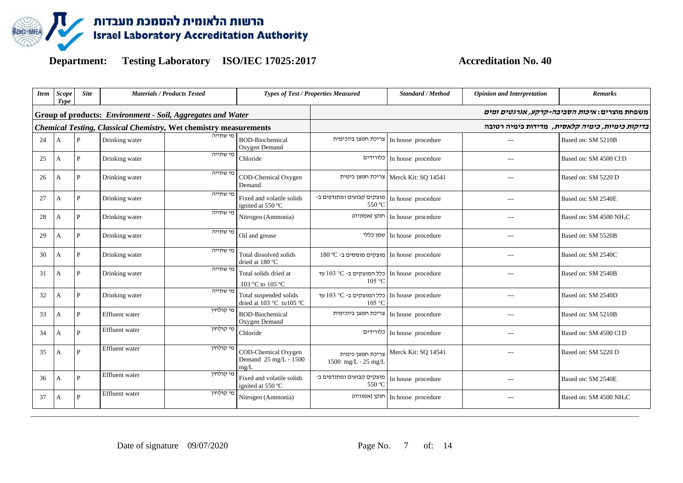

| Item | <b>Scope</b><br><b>Type</b> | <b>Site</b>  |                       | <b>Materials / Products Tested</b>                                       |                                                                       | <b>Types of Test / Properties Measured</b>                 |                                        | <b>Opinion and Interpretation</b> | <b>Remarks</b>                                           |
|------|-----------------------------|--------------|-----------------------|--------------------------------------------------------------------------|-----------------------------------------------------------------------|------------------------------------------------------------|----------------------------------------|-----------------------------------|----------------------------------------------------------|
|      |                             |              |                       | Group of products: Environment - Soil, Aggregates and Water              |                                                                       |                                                            |                                        |                                   | משפחת מוצרים: <i>איכות הסביבה-קרקע, אגרגטים ומים</i>     |
|      |                             |              |                       | <b>Chemical Testing, Classical Chemistry, Wet chemistry measurements</b> |                                                                       |                                                            |                                        |                                   | ב <i>דיקות כימיות, כימיה קלאסית</i> , מדידות כימיה רטובה |
| 24   | A                           | P            | Drinking water        | מי שתייה                                                                 | <b>BOD-Biochemical</b><br>Oxygen Demand                               | צריכת חמצן ביוכימית                                        | In house procedure                     | $---$                             | Based on: SM 5210B                                       |
| 25   | A                           | P            | Drinking water        | מי שתייה                                                                 | Chloride                                                              |                                                            | In house procedure   כלורידים          | $---$                             | Based on: SM 4500 Cl <sup>-</sup> D                      |
| 26   | А                           | P            | Drinking water        | מי שתייה                                                                 | COD-Chemical Oxygen<br>Demand                                         |                                                            | Merck Kit: SQ 14541   צריכת חמצן כימית | $---$                             | Based on: SM 5220 D                                      |
| 27   | A                           | P            | Drinking water        | מי שתייה                                                                 | Fixed and volatile solids<br>ignited at 550 °C                        | מוצקים קבועים ומתנדפים ב-<br>550 °C                        | In house procedure                     | $---$                             | Based on: SM 2540E                                       |
| 28   | A                           | P            | Drinking water        | מי שתייה                                                                 | Nitrogen (Ammonia)                                                    |                                                            | חנקן (אמוניה) In house procedure       | $---$                             | Based on: SM 4500 NH <sub>3</sub> C                      |
| 29   | A                           | P            | Drinking water        | מי שתייה                                                                 | Oil and grease                                                        |                                                            | שמן כללי In house procedure            | $---$                             | Based on: SM 5520B                                       |
| 30   | A                           | P            | Drinking water        | מי שתייה                                                                 | Total dissolved solids<br>dried at 180 °C                             | In house procedure מוצקים מומסים ב- 180 °C                 |                                        | $---$                             | Based on: SM 2540C                                       |
| 31   | A                           | P            | Drinking water        | מי שתייה                                                                 | Total solids dried at<br>103 °C to 105 °C                             | In house procedure   כלל המוצקים ב-O3 °C עד<br>105 °C      |                                        | $---$                             | Based on: SM 2540B                                       |
| 32   | $\overline{A}$              | P            | Drinking water        | מי שתייה                                                                 | Total suspended solids<br>dried at $103^{\circ}$ C to $105^{\circ}$ C | עד 103 °C - כלל המוצקים ב-103 km bouse procedure<br>105 °C |                                        | $---$                             | Based on: SM 2540D                                       |
| 33   | A                           | P            | <b>Effluent</b> water | מי קולחיו                                                                | <b>BOD-Biochemical</b><br>Oxygen Demand                               | צריכת חמצן ביוכימית                                        | In house procedure                     | $---$                             | Based on: SM 5210B                                       |
| 34   | А                           | P            | Effluent water        | מי קולחיו                                                                | Chloride                                                              |                                                            | In house procedure   כלורידים          | $---$                             | Based on: SM 4500 Cl <sup>-</sup> D                      |
| 35   | А                           | $\mathbf{p}$ | Effluent water        | מי קולחין                                                                | COD-Chemical Oxygen<br>Demand 25 mg/L - 1500<br>$m\Omega/L$           | צריכת חמצו כימית<br>1500 mg/L - $25 \text{ mg/L}$          | Merck Kit: SQ 14541                    | $---$                             | Based on: SM 5220 D                                      |
| 36   | A                           | $\mathbf{p}$ | Effluent water        | מי קולחיו                                                                | Fixed and volatile solids<br>ignited at 550 °C                        | - In house procedure   מוצקים קבועים ומתנדפים ב<br>550 °C  |                                        | $---$                             | Based on: SM 2540E                                       |
| 37   | A                           | P            | <b>Effluent</b> water | מי קולחין                                                                | Nitrogen (Ammonia)                                                    |                                                            | חנקן (אמוניה) In house procedure       | $---$                             | Based on: SM 4500 NH <sub>3</sub> C                      |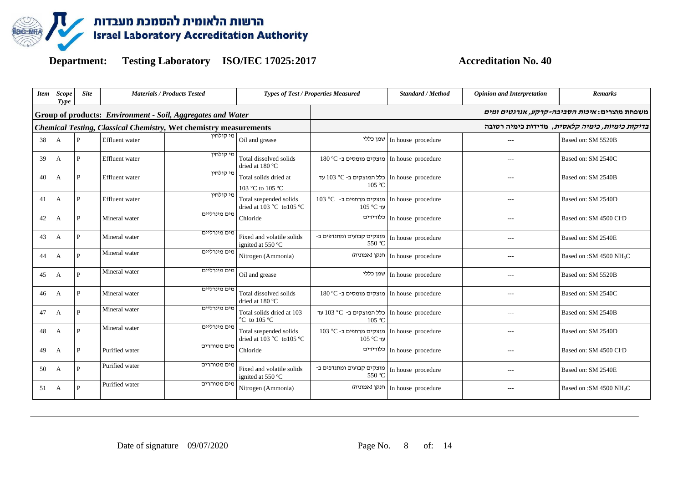

| <b>Item</b> | <b>Scope</b><br>Type | <b>Site</b>  |                       | <b>Materials / Products Tested</b>                                       |                                                     | <b>Types of Test / Properties Measured</b>                               | <b>Standard / Method</b>      | <b>Opinion and Interpretation</b> | <b>Remarks</b>                                       |  |
|-------------|----------------------|--------------|-----------------------|--------------------------------------------------------------------------|-----------------------------------------------------|--------------------------------------------------------------------------|-------------------------------|-----------------------------------|------------------------------------------------------|--|
|             |                      |              |                       | Group of products: Environment - Soil, Aggregates and Water              |                                                     |                                                                          |                               |                                   | משפחת מוצרים: <i>איכות הסביבה-קרקע, אגרגטים ומים</i> |  |
|             |                      |              |                       | <b>Chemical Testing, Classical Chemistry, Wet chemistry measurements</b> |                                                     | <i>בדיקות כימיות, כימיה קלאסית</i> , מדידות כימיה רטובה                  |                               |                                   |                                                      |  |
| 38          | A                    | P            | Effluent water        | מי קולחיו                                                                | Oil and grease                                      |                                                                          | שמן כללי In house procedure   | $---$                             | Based on: SM 5520B                                   |  |
| 39          | А                    | $\mathbf{P}$ | <b>Effluent</b> water | מי קולחיו                                                                | Total dissolved solids<br>dried at 180 °C           | In house procedure מוצקים מומסים ב- 180 In                               |                               | $---$                             | Based on: SM 2540C                                   |  |
| 40          | A                    | P            | <b>Effluent</b> water | מי קולחין                                                                | Total solids dried at<br>103 °C to 105 °C           | עד In house procedure   כלל המוצקים ב-O3 °C עד<br>105 °C                 |                               |                                   | Based on: SM 2540B                                   |  |
| 41          | А                    | P            | <b>Effluent</b> water | מי קולחיו                                                                | Total suspended solids<br>dried at 103 °C to 105 °C | In house procedure מוצקים מרחפים ב- O° C<br>105 °C עד                    |                               | $- - -$                           | Based on: SM 2540D                                   |  |
| 42          | А                    | P            | Mineral water         | מים מינרליים                                                             | Chloride                                            |                                                                          | In house procedure            |                                   | Based on: SM 4500 Cl <sup>-</sup> D                  |  |
| 43          | А                    | P            | Mineral water         | מים מינרליים                                                             | Fixed and volatile solids<br>ignited at 550 °C      | - In house procedure מוצקים קבועים ומתנדפים ב<br>550 °C                  |                               | $- - -$                           | Based on: SM 2540E                                   |  |
| 44          | А                    | $\mathbf{p}$ | Mineral water         | מים מינרליים                                                             | Nitrogen (Ammonia)                                  | חנקן (אמוניה)                                                            | In house procedure            | $---$                             | Based on :SM 4500 NH <sub>3</sub> C                  |  |
| 45          | А                    | D            | Mineral water         | מים מינרליים                                                             | Oil and grease                                      | שמן כללי                                                                 | In house procedure            | $---$                             | Based on: SM 5520B                                   |  |
| 46          | А                    | P            | Mineral water         | מים מינרליים                                                             | Total dissolved solids<br>dried at 180 °C           | In house procedure   מוצקים מומסים ב-O°C ו                               |                               | $- - -$                           | Based on: SM 2540C                                   |  |
| 47          | A                    | $\mathbf{p}$ | Mineral water         | מים מינרליים                                                             | Total solids dried at 103<br>°C to 105 °C           | עד 103 °C - כלל המוצקים ב- 103 עד<br>105 °C                              |                               | $---$                             | Based on: SM 2540B                                   |  |
| 48          | А                    | P            | Mineral water         | מים מינרליים                                                             | Total suspended solids<br>dried at 103 °C to 105 °C | In house procedure מוצקים מרחפים ב-C <sup>o</sup> C וn house<br>עד C°C ע |                               | $---$                             | Based on: SM 2540D                                   |  |
| 49          | А                    | $\mathbf{P}$ | Purified water        | מים מטוהרים                                                              | Chloride                                            |                                                                          | Christel procedure   כלורידים | $- - -$                           | Based on: SM 4500 Cl <sup>-</sup> D                  |  |
| 50          | А                    | $\mathbf{P}$ | Purified water        | מים מטוהרים                                                              | Fixed and volatile solids<br>ignited at 550 °C      | - In house procedure   מוצקים קבועים ומתנדפים ב<br>550 °C                |                               | $---$                             | Based on: SM 2540E                                   |  |
| 51          | А                    | P            | Purified water        | מים מטוהרים                                                              | Nitrogen (Ammonia)                                  | חנקן (אמוניה)                                                            | In house procedure            | $---$                             | Based on :SM 4500 NH <sub>3</sub> C                  |  |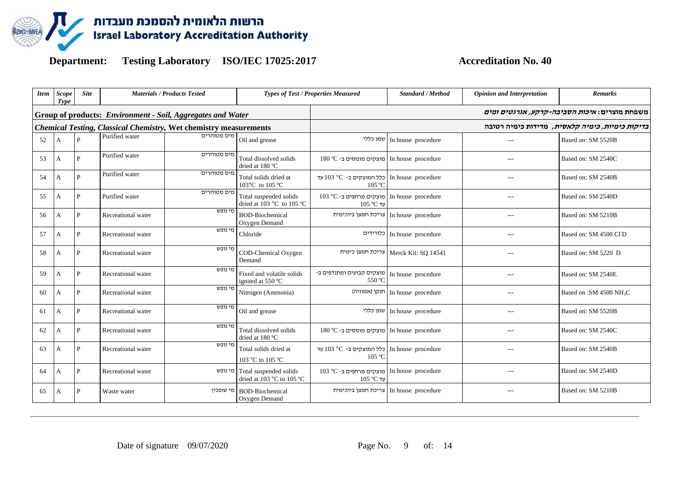

| <b>Item</b> | <b>Scope</b><br>Type | <b>Site</b>    | <b>Materials / Products Tested</b> |                                                                          | <b>Types of Test / Properties Measured</b>                  |                                                                   | Standard / Method   | <b>Opinion and Interpretation</b> | <b>Remarks</b>                                       |  |
|-------------|----------------------|----------------|------------------------------------|--------------------------------------------------------------------------|-------------------------------------------------------------|-------------------------------------------------------------------|---------------------|-----------------------------------|------------------------------------------------------|--|
|             |                      |                |                                    | Group of products: Environment - Soil, Aggregates and Water              |                                                             |                                                                   |                     |                                   | משפחת מוצרים: <i>איכות הסביבה-קרקע, אגרגטים ומים</i> |  |
|             |                      |                |                                    | <b>Chemical Testing, Classical Chemistry, Wet chemistry measurements</b> |                                                             | <i>בדיקות כימיות, כימיה קלאסית</i> , מדידות כימיה רטובה           |                     |                                   |                                                      |  |
| 52          | A                    | $\mathbf{P}$   | Purified water                     | מים מטוהרים                                                              | Oil and grease                                              | שמן כללי                                                          | In house procedure  |                                   | Based on: SM 5520B                                   |  |
| 53          | А                    | P              | Purified water                     | מים מטוהרים                                                              | Total dissolved solids<br>dried at 180 °C                   | In house procedure crocedure   מוצקים מומסים ב-O°C                |                     |                                   | Based on: SM 2540C                                   |  |
| 54          | А                    | $\overline{P}$ | Purified water                     | מים מטוהרים                                                              | Total solids dried at<br>103°C to 105 °C                    | עד In house procedure c+ 103 °C - כלל המוצקים ב<br>105 °C         |                     | $-$ --                            | Based on: SM 2540B                                   |  |
| 55          | А                    | P              | Purified water                     | מים מטוהרים                                                              | Total suspended solids<br>dried at 103 °C to 105 °C         | In house procedure crocedure   מוצקים מרחפים ב-O3 °C<br>עד C°C ער |                     |                                   | Based on: SM 2540D                                   |  |
| 56          | А                    | $\mathbf{P}$   | Recreational water                 | מי נופש                                                                  | <b>BOD-Biochemical</b><br>Oxygen Demand                     | צריכת חמצן ביוכימית                                               | In house procedure  | $-$ --                            | Based on: SM 5210B                                   |  |
| 57          | А                    | P              | Recreational water                 | מי נופש                                                                  | Chloride                                                    | כלורידים                                                          | In house procedure  | $-$ --                            | Based on: SM 4500 Cl <sup>-</sup> D                  |  |
| 58          | А                    | $\mathbf{P}$   | Recreational water                 | מי נופש                                                                  | COD-Chemical Oxygen<br>Demand                               | צריכת חמצן כימית                                                  | Merck Kit: SO 14541 | $---$                             | Based on: SM 5220 D                                  |  |
| 59          | A                    | $\mathbf{P}$   | Recreational water                 | מי נופש                                                                  | Fixed and volatile solids<br>ignited at 550 °C              | מוצקים קבועים ומתנדפים ב-<br>550 °C                               | In house procedure  |                                   | Based on: SM 2540E                                   |  |
| 60          | А                    | P              | Recreational water                 | מי נופש                                                                  | Nitrogen (Ammonia)                                          | חנקן (אמוניה)                                                     | In house procedure  | $---$                             | Based on :SM 4500 NH <sub>3</sub> C                  |  |
| 61          | А                    | P              | Recreational water                 | מי נופש                                                                  | Oil and grease                                              | שמן כללי                                                          | In house procedure  | $- - -$                           | Based on: SM 5520B                                   |  |
| 62          | А                    | P              | Recreational water                 | מי נופש                                                                  | Total dissolved solids<br>dried at 180 °C                   | In house procedure   מוצקים מומסים ב-O°C ו                        |                     | $- - -$                           | Based on: SM 2540C                                   |  |
| 63          | А                    | P              | Recreational water                 | מי נופש                                                                  | Total solids dried at<br>103 °C to 105 °C                   | עד 203 °C - כלל המוצקים ב-D3 °C עד<br>105 °C                      |                     | $- - -$                           | Based on: SM 2540B                                   |  |
| 64          | А                    | $\mathbf{P}$   | Recreational water                 |                                                                          | מי נופש Total suspended solids<br>dried at 103 °C to 105 °C | In house procedure מוצקים מרחפים ב-O° C ו<br>105 °C עד            |                     | $---$                             | Based on: SM 2540D                                   |  |
| 65          | A                    | P              | Waste water                        | מי שופכין                                                                | <b>BOD-Biochemical</b><br>Oxygen Demand                     | צריכת חמצן ביוכימית                                               | In house procedure  | $---$                             | Based on: SM 5210B                                   |  |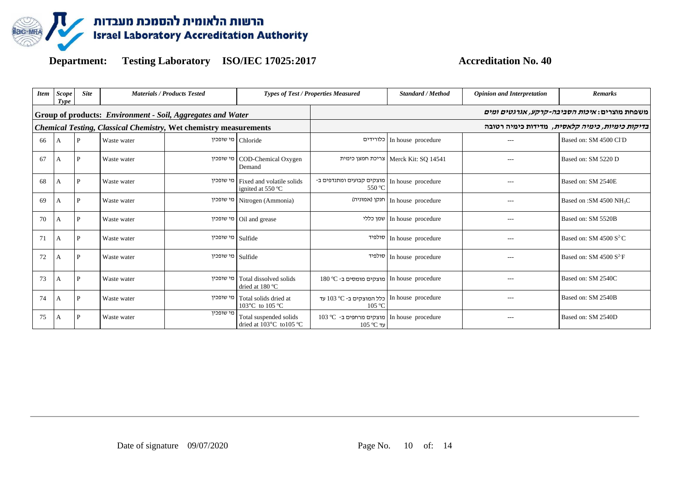

| <b>Item</b> | Scope<br>Type | <b>Site</b> | <b>Materials / Products Tested</b> |                                                                          | <b>Types of Test / Properties Measured</b>                 |                                                                    | <b>Standard / Method</b>               | <b>Opinion and Interpretation</b> | <b>Remarks</b>                                       |
|-------------|---------------|-------------|------------------------------------|--------------------------------------------------------------------------|------------------------------------------------------------|--------------------------------------------------------------------|----------------------------------------|-----------------------------------|------------------------------------------------------|
|             |               |             |                                    | Group of products: Environment - Soil, Aggregates and Water              |                                                            |                                                                    |                                        |                                   | משפחת מוצרים: <i>איכות הסביבה-קרקע, אגרגטים ומים</i> |
|             |               |             |                                    | <b>Chemical Testing, Classical Chemistry, Wet chemistry measurements</b> |                                                            | <i>בדיקות כימיות, כימיה קלאסית</i> , מדידות כימיה רטובה            |                                        |                                   |                                                      |
| 66          | А             | P           | Waste water                        |                                                                          | Chloride מי שופכין                                         |                                                                    | In house procedure   כלורידים          |                                   | Based on: SM 4500 Cl <sup>-</sup> D                  |
| 67          | A             | P           | Waste water                        |                                                                          | COD-Chemical Oxygen   מי שופכין<br>Demand                  |                                                                    | Merck Kit: SQ 14541   צריכת חמצן כימית | $---$                             | Based on: SM 5220 D                                  |
| 68          | А             | P           | Waste water                        |                                                                          | Fixed and volatile solids   מי שופכין<br>ignited at 550 °C | In house procedure   מוצקים קבועים ומתנדפים ב-<br>550 °C           |                                        | $- - -$                           | Based on: SM 2540E                                   |
| 69          | A             | P           | Waste water                        |                                                                          | מי שופכין Nitrogen (Ammonia)                               |                                                                    | חנקן (אמוניה) In house procedure       |                                   | Based on :SM 4500 NH <sub>3</sub> C                  |
| 70          | А             | P           | Waste water                        |                                                                          | Oil and grease   מי שופכין                                 |                                                                    | In house procedure   שמן כללי          | $- - -$                           | Based on: SM 5520B                                   |
| 71          | А             | P           | Waste water                        | Sulfide   מי שופכין                                                      |                                                            |                                                                    | סולפיד In house procedure              |                                   | Based on: SM 4500 $S^2C$                             |
| 72          | А             | P           | Waste water                        | Sulfide   מי שופכין                                                      |                                                            |                                                                    | סולפיד In house procedure              | $---$                             | Based on: SM 4500 $S^2$ F                            |
| 73          | А             | P           | Waste water                        |                                                                          | Total dissolved solids   מי שופכין<br>dried at 180 °C      | In house procedure מוצקים מומסים ב- 180 In I                       |                                        |                                   | Based on: SM 2540C                                   |
| 74          | А             | P           | Waste water                        |                                                                          | Total solids dried at   מי שופכין<br>103°C to 105 °C       | עד 103 °C - כלל המוצקים ב-2° 103 עד<br>105 °C                      |                                        | $- - -$                           | Based on: SM 2540B                                   |
| 75          | А             | P           | Waste water                        | מי שופכיו                                                                | Total suspended solids<br>dried at 103°C to105 °C          | In house procedure crocedure   מוצקים מרחפים ב- O° 103<br>עד C°C ע |                                        |                                   | Based on: SM 2540D                                   |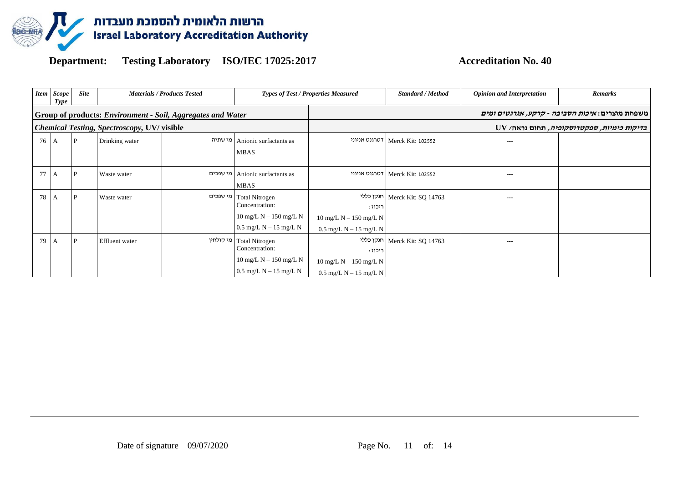

|    | <b>Item</b> Scope<br>Type | <b>Site</b> |                                                   | <b>Materials / Products Tested</b>                                 |                                                                                                                                                                    | <b>Types of Test / Properties Measured</b>                                                        | <b>Standard / Method</b>        | <b>Opinion and Interpretation</b> | <b>Remarks</b>                                         |
|----|---------------------------|-------------|---------------------------------------------------|--------------------------------------------------------------------|--------------------------------------------------------------------------------------------------------------------------------------------------------------------|---------------------------------------------------------------------------------------------------|---------------------------------|-----------------------------------|--------------------------------------------------------|
|    |                           |             |                                                   | <b>Group of products: Environment - Soil, Aggregates and Water</b> |                                                                                                                                                                    |                                                                                                   |                                 |                                   | משפחת מוצרים: <i>איכות הסביבה - קרקע, אגרגטים ומים</i> |
|    |                           |             | <b>Chemical Testing, Spectroscopy, UV/visible</b> |                                                                    |                                                                                                                                                                    |                                                                                                   |                                 |                                   | נדיקות כימיות, ספקטרוסקופיה, תחום נראה/ UV             |
| 76 | I A                       | P           | Drinking water                                    | מי שתיה                                                            | Anionic surfactants as<br><b>MBAS</b>                                                                                                                              |                                                                                                   | דטרגנט אניוני Merck Kit: 102552 | $---$                             |                                                        |
| 77 | I A                       | P           | Waste water                                       |                                                                    | Anionic surfactants as<br><b>MBAS</b>                                                                                                                              |                                                                                                   | דטרגנט אניוני Merck Kit: 102552 | $---$                             |                                                        |
| 78 | I A                       | P           | Waste water                                       |                                                                    | Total Nitrogen<br>Concentration:<br>$10 \text{ mg/L}$ N $- 150 \text{ mg/L}$ N<br>$0.5 \text{ mg/L} \text{ N} - 15 \text{ mg/L} \text{ N}$                         | ריכוז :<br>$10 \text{ mg/L} \text{ N} - 150 \text{ mg/L} \text{ N}$<br>$0.5$ mg/L N $-$ 15 mg/L N | חנקן כללי Merck Kit: SQ 14763   | ---                               |                                                        |
| 79 | I A                       | P           | <b>Effluent</b> water                             |                                                                    | מי קולחין Total Nitrogen<br>Concentration:<br>$10 \text{ mg/L} \text{ N} - 150 \text{ mg/L} \text{ N}$<br>$0.5 \text{ mg/L} \text{ N} - 15 \text{ mg/L} \text{ N}$ | ריכוז :<br>$10 \text{ mg/L}$ N $- 150 \text{ mg/L}$ N<br>$0.5$ mg/L N $-$ 15 mg/L N               | חנקן כללי Merck Kit: SQ 14763   | ---                               |                                                        |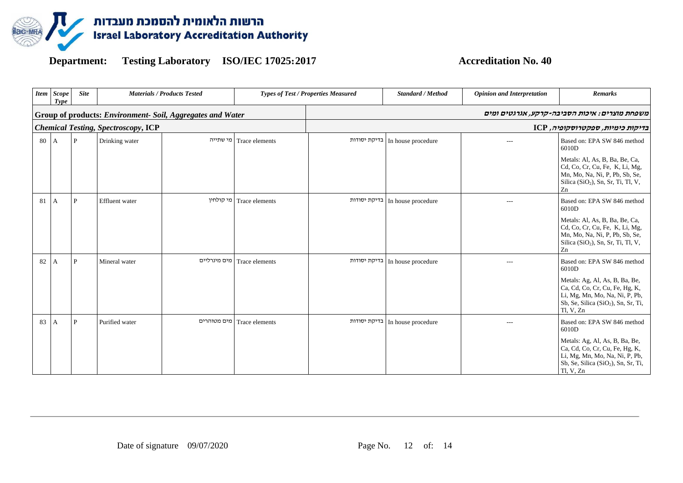

| <b>Item</b> | <b>Scope</b><br>Type | <b>Site</b>  |                                            | <b>Materials / Products Tested</b>                         | <b>Types of Test / Properties Measured</b> |              | <b>Standard / Method</b>          | <b>Opinion and Interpretation</b> | <b>Remarks</b>                                                                                                                                                                                             |
|-------------|----------------------|--------------|--------------------------------------------|------------------------------------------------------------|--------------------------------------------|--------------|-----------------------------------|-----------------------------------|------------------------------------------------------------------------------------------------------------------------------------------------------------------------------------------------------------|
|             |                      |              |                                            | Group of products: Environment- Soil, Aggregates and Water |                                            |              |                                   |                                   | משפחת מוצרים: איכות הסביבה-קרקע, אגרגטים ומים                                                                                                                                                              |
|             |                      |              | <b>Chemical Testing, Spectroscopy, ICP</b> |                                                            |                                            |              |                                   |                                   | בדיקות כימיות, ספקטרוסקופיה, ICP                                                                                                                                                                           |
| 80          | $\overline{A}$       | $\mathbf{P}$ | Drinking water                             | מי שתייה                                                   | Trace elements                             | בדיקת יסודות | In house procedure                | $---$                             | Based on: EPA SW 846 method<br>6010D<br>Metals: Al, As, B, Ba, Be, Ca,<br>Cd, Co, Cr, Cu, Fe, K, Li, Mg,<br>Mn, Mo, Na, Ni, P, Pb, Sb, Se,<br>Silica (SiO <sub>2</sub> ), Sn, Sr, Ti, Tl, V,<br>Zn         |
| 81          | I A                  | P            | Effluent water                             | מי קולחין                                                  | Trace elements                             |              | In house procedure   בדיקת יסודות | $-$ --                            | Based on: EPA SW 846 method<br>6010D<br>Metals: Al, As, B, Ba, Be, Ca,<br>Cd, Co, Cr, Cu, Fe, K, Li, Mg,<br>Mn, Mo, Na, Ni, P, Pb, Sb, Se,<br>Silica (SiO <sub>2</sub> ), Sn, Sr, Ti, Tl, V,<br>Zn         |
| 82          | A                    | P            | Mineral water                              | מים מינרליים                                               | Trace elements                             | בדיקת יסודות | In house procedure                | $---$                             | Based on: EPA SW 846 method<br>6010D<br>Metals: Ag, Al, As, B, Ba, Be,<br>Ca, Cd, Co, Cr, Cu, Fe, Hg, K,<br>Li, Mg, Mn, Mo, Na, Ni, P, Pb,<br>Sb, Se, Silica (SiO <sub>2</sub> ), Sn, Sr, Ti,<br>Tl, V, Zn |
| 83          | A                    | P            | Purified water                             | מים מטוהרים                                                | Trace elements                             | בדיקת יסודות | In house procedure                | $---$                             | Based on: EPA SW 846 method<br>6010D<br>Metals: Ag, Al, As, B, Ba, Be,<br>Ca, Cd, Co, Cr, Cu, Fe, Hg, K,<br>Li, Mg, Mn, Mo, Na, Ni, P, Pb,<br>Sb, Se, Silica (SiO <sub>2</sub> ), Sn, Sr, Ti,<br>Tl, V, Zn |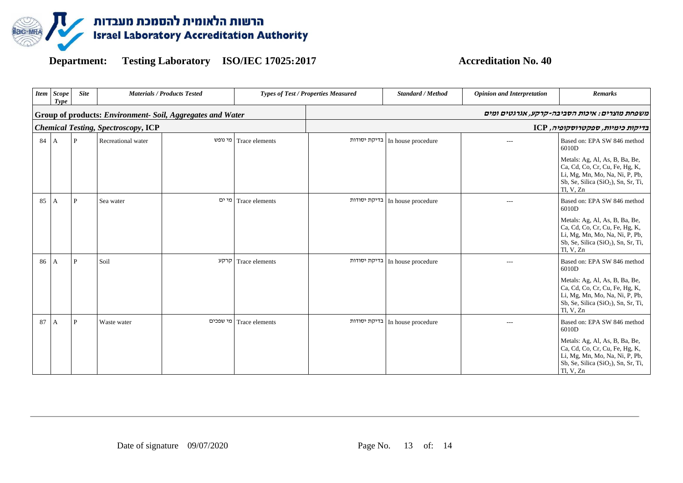

| <b>Item</b> | <b>Scope</b><br>Type | <b>Site</b>  |                                            | <b>Materials / Products Tested</b>                         |                | <b>Types of Test / Properties Measured</b> | <b>Standard / Method</b>          | <b>Opinion and Interpretation</b> | <b>Remarks</b>                                                                                                                                                                                             |
|-------------|----------------------|--------------|--------------------------------------------|------------------------------------------------------------|----------------|--------------------------------------------|-----------------------------------|-----------------------------------|------------------------------------------------------------------------------------------------------------------------------------------------------------------------------------------------------------|
|             |                      |              |                                            | Group of products: Environment- Soil, Aggregates and Water |                |                                            |                                   |                                   | משפחת מוצרים: איכות הסביבה-קרקע, אגרגטים ומים                                                                                                                                                              |
|             |                      |              | <b>Chemical Testing, Spectroscopy, ICP</b> |                                                            |                |                                            |                                   |                                   | בדיקות כימיות, ספקטרוסקופיה, ICP                                                                                                                                                                           |
| 84          | $\overline{A}$       | $\mathbf{P}$ | Recreational water                         | מי נופש                                                    | Trace elements | בדיקת יסודות                               | In house procedure                | $---$                             | Based on: EPA SW 846 method<br>6010D<br>Metals: Ag, Al, As, B, Ba, Be,<br>Ca, Cd, Co, Cr, Cu, Fe, Hg, K,<br>Li, Mg, Mn, Mo, Na, Ni, P, Pb,<br>Sb, Se, Silica (SiO <sub>2</sub> ), Sn, Sr, Ti,<br>Tl, V, Zn |
| 85          | A                    | P            | Sea water                                  | מי ים                                                      | Trace elements |                                            | In house procedure   בדיקת יסודות | $-$ --                            | Based on: EPA SW 846 method<br>6010D<br>Metals: Ag, Al, As, B, Ba, Be,<br>Ca, Cd, Co, Cr, Cu, Fe, Hg, K,<br>Li, Mg, Mn, Mo, Na, Ni, P, Pb,<br>Sb, Se, Silica (SiO <sub>2</sub> ), Sn, Sr, Ti,<br>Tl, V, Zn |
| 86          | $\mathsf{A}$         | P            | Soil                                       | קרקע                                                       | Trace elements | בדיקת יסודות                               | In house procedure                | $---$                             | Based on: EPA SW 846 method<br>6010D<br>Metals: Ag, Al, As, B, Ba, Be,<br>Ca, Cd, Co, Cr, Cu, Fe, Hg, K,<br>Li, Mg, Mn, Mo, Na, Ni, P, Pb,<br>Sb, Se, Silica (SiO <sub>2</sub> ), Sn, Sr, Ti,<br>Tl, V, Zn |
| 87          | A                    | P            | Waste water                                | מי שפכים                                                   | Trace elements | בדיקת יסודות                               | In house procedure                | $---$                             | Based on: EPA SW 846 method<br>6010D<br>Metals: Ag, Al, As, B, Ba, Be,<br>Ca, Cd, Co, Cr, Cu, Fe, Hg, K,<br>Li, Mg, Mn, Mo, Na, Ni, P, Pb,<br>Sb, Se, Silica (SiO <sub>2</sub> ), Sn, Sr, Ti,<br>Tl, V, Zn |